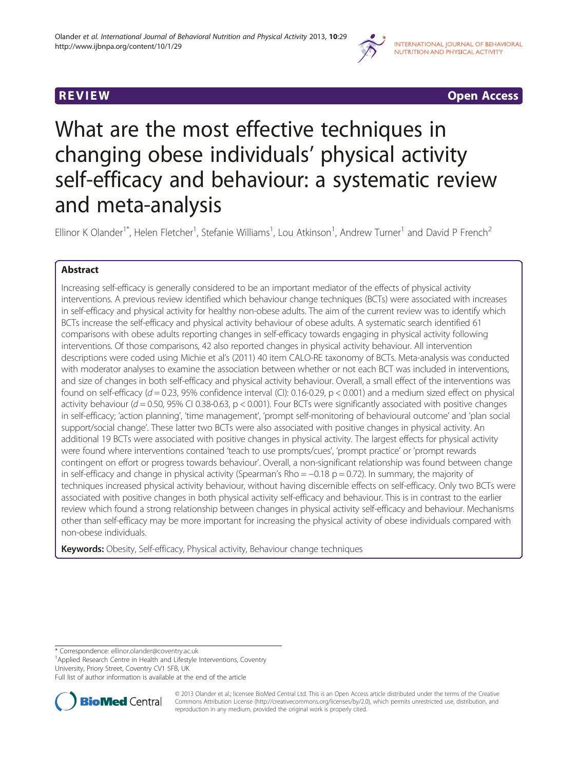

**REVIEW CONSTRUCTION CONSTRUCTION CONSTRUCTS** 

# What are the most effective techniques in changing obese individuals' physical activity self-efficacy and behaviour: a systematic review and meta-analysis

Ellinor K Olander<sup>1\*</sup>, Helen Fletcher<sup>1</sup>, Stefanie Williams<sup>1</sup>, Lou Atkinson<sup>1</sup>, Andrew Turner<sup>1</sup> and David P French<sup>2</sup>

# Abstract

Increasing self-efficacy is generally considered to be an important mediator of the effects of physical activity interventions. A previous review identified which behaviour change techniques (BCTs) were associated with increases in self-efficacy and physical activity for healthy non-obese adults. The aim of the current review was to identify which BCTs increase the self-efficacy and physical activity behaviour of obese adults. A systematic search identified 61 comparisons with obese adults reporting changes in self-efficacy towards engaging in physical activity following interventions. Of those comparisons, 42 also reported changes in physical activity behaviour. All intervention descriptions were coded using Michie et al's (2011) 40 item CALO-RE taxonomy of BCTs. Meta-analysis was conducted with moderator analyses to examine the association between whether or not each BCT was included in interventions, and size of changes in both self-efficacy and physical activity behaviour. Overall, a small effect of the interventions was found on self-efficacy ( $d = 0.23$ , 95% confidence interval (CI): 0.16-0.29, p < 0.001) and a medium sized effect on physical activity behaviour ( $d = 0.50$ , 95% CI 0.38-0.63, p < 0.001). Four BCTs were significantly associated with positive changes in self-efficacy; 'action planning', 'time management', 'prompt self-monitoring of behavioural outcome' and 'plan social support/social change'. These latter two BCTs were also associated with positive changes in physical activity. An additional 19 BCTs were associated with positive changes in physical activity. The largest effects for physical activity were found where interventions contained 'teach to use prompts/cues', 'prompt practice' or 'prompt rewards contingent on effort or progress towards behaviour'. Overall, a non-significant relationship was found between change in self-efficacy and change in physical activity (Spearman's Rho =  $-0.18$  p = 0.72). In summary, the majority of techniques increased physical activity behaviour, without having discernible effects on self-efficacy. Only two BCTs were associated with positive changes in both physical activity self-efficacy and behaviour. This is in contrast to the earlier review which found a strong relationship between changes in physical activity self-efficacy and behaviour. Mechanisms other than self-efficacy may be more important for increasing the physical activity of obese individuals compared with non-obese individuals.

Keywords: Obesity, Self-efficacy, Physical activity, Behaviour change techniques

<sup>1</sup> Applied Research Centre in Health and Lifestyle Interventions, Coventry University, Priory Street, Coventry CV1 5FB, UK

Full list of author information is available at the end of the article



© 2013 Olander et al.; licensee BioMed Central Ltd. This is an Open Access article distributed under the terms of the Creative Commons Attribution License [\(http://creativecommons.org/licenses/by/2.0\)](http://creativecommons.org/licenses/by/2.0), which permits unrestricted use, distribution, and reproduction in any medium, provided the original work is properly cited.

<sup>\*</sup> Correspondence: [ellinor.olander@coventry.ac.uk](mailto:ellinor.olander@coventry.ac.uk) <sup>1</sup>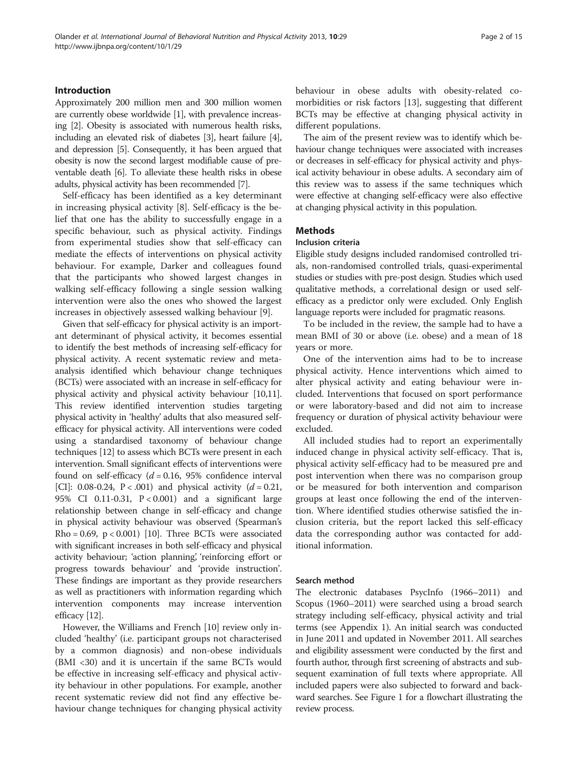# Introduction

Approximately 200 million men and 300 million women are currently obese worldwide [[1\]](#page-12-0), with prevalence increasing [\[2\]](#page-12-0). Obesity is associated with numerous health risks, including an elevated risk of diabetes [[3](#page-12-0)], heart failure [[4](#page-12-0)], and depression [\[5](#page-12-0)]. Consequently, it has been argued that obesity is now the second largest modifiable cause of preventable death [\[6\]](#page-12-0). To alleviate these health risks in obese adults, physical activity has been recommended [\[7\]](#page-12-0).

Self-efficacy has been identified as a key determinant in increasing physical activity [\[8](#page-12-0)]. Self-efficacy is the belief that one has the ability to successfully engage in a specific behaviour, such as physical activity. Findings from experimental studies show that self-efficacy can mediate the effects of interventions on physical activity behaviour. For example, Darker and colleagues found that the participants who showed largest changes in walking self-efficacy following a single session walking intervention were also the ones who showed the largest increases in objectively assessed walking behaviour [[9\]](#page-12-0).

Given that self-efficacy for physical activity is an important determinant of physical activity, it becomes essential to identify the best methods of increasing self-efficacy for physical activity. A recent systematic review and metaanalysis identified which behaviour change techniques (BCTs) were associated with an increase in self-efficacy for physical activity and physical activity behaviour [\[10,11](#page-12-0)]. This review identified intervention studies targeting physical activity in 'healthy' adults that also measured selfefficacy for physical activity. All interventions were coded using a standardised taxonomy of behaviour change techniques [\[12](#page-12-0)] to assess which BCTs were present in each intervention. Small significant effects of interventions were found on self-efficacy  $(d = 0.16, 95\%$  confidence interval [CI]: 0.08-0.24,  $P < .001$ ) and physical activity ( $d = 0.21$ , 95% CI 0.11-0.31, P < 0.001) and a significant large relationship between change in self-efficacy and change in physical activity behaviour was observed (Spearman's Rho = 0.69,  $p < 0.001$ ) [\[10\]](#page-12-0). Three BCTs were associated with significant increases in both self-efficacy and physical activity behaviour; 'action planning', 'reinforcing effort or progress towards behaviour' and 'provide instruction'. These findings are important as they provide researchers as well as practitioners with information regarding which intervention components may increase intervention efficacy [[12](#page-12-0)].

However, the Williams and French [\[10](#page-12-0)] review only included 'healthy' (i.e. participant groups not characterised by a common diagnosis) and non-obese individuals (BMI <30) and it is uncertain if the same BCTs would be effective in increasing self-efficacy and physical activity behaviour in other populations. For example, another recent systematic review did not find any effective behaviour change techniques for changing physical activity behaviour in obese adults with obesity-related comorbidities or risk factors [[13](#page-12-0)], suggesting that different BCTs may be effective at changing physical activity in different populations.

The aim of the present review was to identify which behaviour change techniques were associated with increases or decreases in self-efficacy for physical activity and physical activity behaviour in obese adults. A secondary aim of this review was to assess if the same techniques which were effective at changing self-efficacy were also effective at changing physical activity in this population.

# Methods

# Inclusion criteria

Eligible study designs included randomised controlled trials, non-randomised controlled trials, quasi-experimental studies or studies with pre-post design. Studies which used qualitative methods, a correlational design or used selfefficacy as a predictor only were excluded. Only English language reports were included for pragmatic reasons.

To be included in the review, the sample had to have a mean BMI of 30 or above (i.e. obese) and a mean of 18 years or more.

One of the intervention aims had to be to increase physical activity. Hence interventions which aimed to alter physical activity and eating behaviour were included. Interventions that focused on sport performance or were laboratory-based and did not aim to increase frequency or duration of physical activity behaviour were excluded.

All included studies had to report an experimentally induced change in physical activity self-efficacy. That is, physical activity self-efficacy had to be measured pre and post intervention when there was no comparison group or be measured for both intervention and comparison groups at least once following the end of the intervention. Where identified studies otherwise satisfied the inclusion criteria, but the report lacked this self-efficacy data the corresponding author was contacted for additional information.

# Search method

The electronic databases PsycInfo (1966–2011) and Scopus (1960–2011) were searched using a broad search strategy including self-efficacy, physical activity and trial terms (see [Appendix 1\)](#page-11-0). An initial search was conducted in June 2011 and updated in November 2011. All searches and eligibility assessment were conducted by the first and fourth author, through first screening of abstracts and subsequent examination of full texts where appropriate. All included papers were also subjected to forward and backward searches. See Figure [1](#page-2-0) for a flowchart illustrating the review process.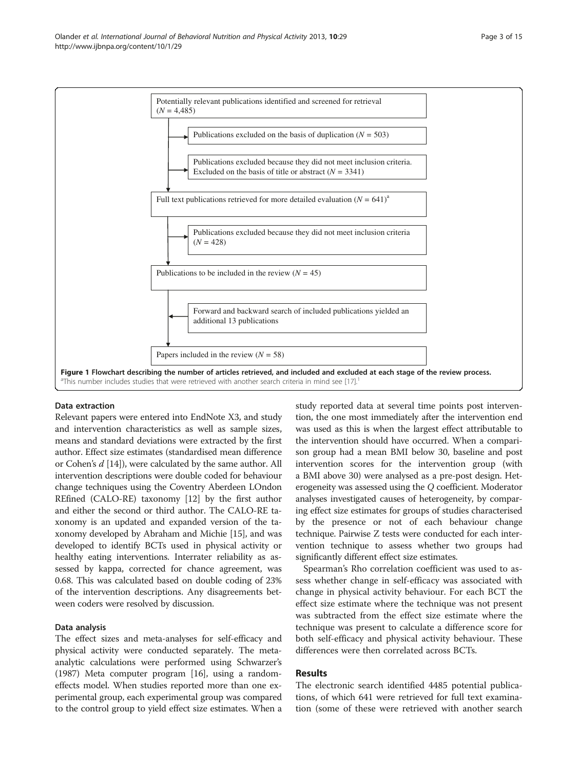<span id="page-2-0"></span>

#### Data extraction

Relevant papers were entered into EndNote X3, and study and intervention characteristics as well as sample sizes, means and standard deviations were extracted by the first author. Effect size estimates (standardised mean difference or Cohen's d [[14](#page-12-0)]), were calculated by the same author. All intervention descriptions were double coded for behaviour change techniques using the Coventry Aberdeen LOndon REfined (CALO-RE) taxonomy [[12](#page-12-0)] by the first author and either the second or third author. The CALO-RE taxonomy is an updated and expanded version of the taxonomy developed by Abraham and Michie [\[15\]](#page-12-0), and was developed to identify BCTs used in physical activity or healthy eating interventions. Interrater reliability as assessed by kappa, corrected for chance agreement, was 0.68. This was calculated based on double coding of 23% of the intervention descriptions. Any disagreements between coders were resolved by discussion.

# Data analysis

The effect sizes and meta-analyses for self-efficacy and physical activity were conducted separately. The metaanalytic calculations were performed using Schwarzer's (1987) Meta computer program [[16](#page-12-0)], using a randomeffects model. When studies reported more than one experimental group, each experimental group was compared to the control group to yield effect size estimates. When a

study reported data at several time points post intervention, the one most immediately after the intervention end was used as this is when the largest effect attributable to the intervention should have occurred. When a comparison group had a mean BMI below 30, baseline and post intervention scores for the intervention group (with a BMI above 30) were analysed as a pre-post design. Heterogeneity was assessed using the Q coefficient. Moderator analyses investigated causes of heterogeneity, by comparing effect size estimates for groups of studies characterised by the presence or not of each behaviour change technique. Pairwise Z tests were conducted for each intervention technique to assess whether two groups had significantly different effect size estimates.

Spearman's Rho correlation coefficient was used to assess whether change in self-efficacy was associated with change in physical activity behaviour. For each BCT the effect size estimate where the technique was not present was subtracted from the effect size estimate where the technique was present to calculate a difference score for both self-efficacy and physical activity behaviour. These differences were then correlated across BCTs.

# Results

The electronic search identified 4485 potential publications, of which 641 were retrieved for full text examination (some of these were retrieved with another search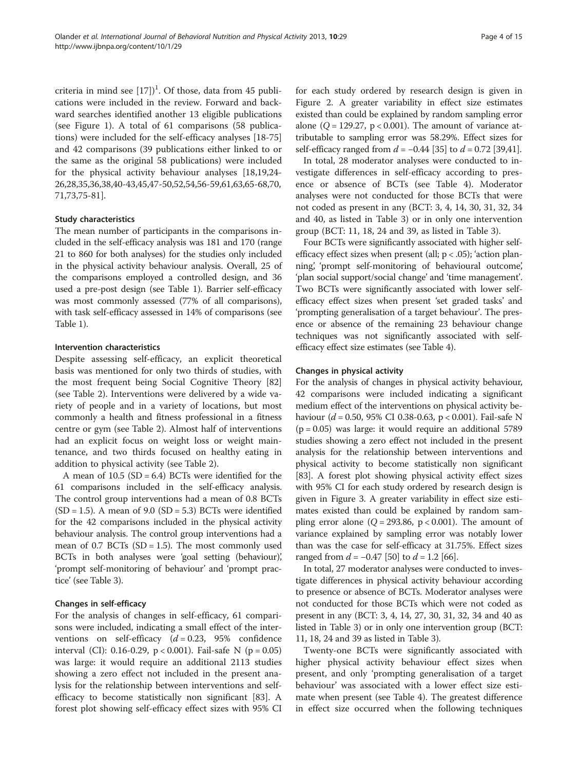criteria in mind see  $[17]$  $[17]$  $[17]$ <sup>1</sup>. Of those, data from 45 publications were included in the review. Forward and backward searches identified another 13 eligible publications (see Figure [1](#page-2-0)). A total of 61 comparisons (58 publications) were included for the self-efficacy analyses [\[18-](#page-12-0)[75](#page-14-0)] and 42 comparisons (39 publications either linked to or the same as the original 58 publications) were included for the physical activity behaviour analyses [\[18,19,24-](#page-12-0) [26,](#page-12-0)[28](#page-13-0),[35](#page-13-0),[36](#page-13-0),[38](#page-13-0),[40](#page-13-0)-[43,45,47-50,52,54,56-59,61,63,65](#page-13-0)-[68,70,](#page-13-0) [71,](#page-13-0)[73](#page-14-0),[75](#page-14-0)-[81\]](#page-14-0).

## Study characteristics

The mean number of participants in the comparisons included in the self-efficacy analysis was 181 and 170 (range 21 to 860 for both analyses) for the studies only included in the physical activity behaviour analysis. Overall, 25 of the comparisons employed a controlled design, and 36 used a pre-post design (see Table [1\)](#page-4-0). Barrier self-efficacy was most commonly assessed (77% of all comparisons), with task self-efficacy assessed in 14% of comparisons (see Table [1\)](#page-4-0).

# Intervention characteristics

Despite assessing self-efficacy, an explicit theoretical basis was mentioned for only two thirds of studies, with the most frequent being Social Cognitive Theory [[82](#page-14-0)] (see Table [2\)](#page-5-0). Interventions were delivered by a wide variety of people and in a variety of locations, but most commonly a health and fitness professional in a fitness centre or gym (see Table [2](#page-5-0)). Almost half of interventions had an explicit focus on weight loss or weight maintenance, and two thirds focused on healthy eating in addition to physical activity (see Table [2](#page-5-0)).

A mean of  $10.5$  (SD = 6.4) BCTs were identified for the 61 comparisons included in the self-efficacy analysis. The control group interventions had a mean of 0.8 BCTs  $(SD = 1.5)$ . A mean of 9.0  $(SD = 5.3)$  BCTs were identified for the 42 comparisons included in the physical activity behaviour analysis. The control group interventions had a mean of 0.7 BCTs ( $SD = 1.5$ ). The most commonly used BCTs in both analyses were 'goal setting (behaviour)', 'prompt self-monitoring of behaviour' and 'prompt practice' (see Table [3\)](#page-6-0).

# Changes in self-efficacy

For the analysis of changes in self-efficacy, 61 comparisons were included, indicating a small effect of the interventions on self-efficacy  $(d = 0.23, 95\%$  confidence interval (CI): 0.16-0.29,  $p < 0.001$ ). Fail-safe N ( $p = 0.05$ ) was large: it would require an additional 2113 studies showing a zero effect not included in the present analysis for the relationship between interventions and selfefficacy to become statistically non significant [\[83](#page-14-0)]. A forest plot showing self-efficacy effect sizes with 95% CI

for each study ordered by research design is given in Figure [2](#page-7-0). A greater variability in effect size estimates existed than could be explained by random sampling error alone ( $Q = 129.27$ ,  $p < 0.001$ ). The amount of variance attributable to sampling error was 58.29%. Effect sizes for self-efficacy ranged from  $d = -0.44$  [\[35\]](#page-13-0) to  $d = 0.72$  [\[39,41\]](#page-13-0).

In total, 28 moderator analyses were conducted to investigate differences in self-efficacy according to presence or absence of BCTs (see Table [4\)](#page-8-0). Moderator analyses were not conducted for those BCTs that were not coded as present in any (BCT: 3, 4, 14, 30, 31, 32, 34 and 40, as listed in Table [3](#page-6-0)) or in only one intervention group (BCT: 11, 18, 24 and 39, as listed in Table [3\)](#page-6-0).

Four BCTs were significantly associated with higher selfefficacy effect sizes when present (all;  $p < .05$ ); 'action planning', 'prompt self-monitoring of behavioural outcome', 'plan social support/social change' and 'time management'. Two BCTs were significantly associated with lower selfefficacy effect sizes when present 'set graded tasks' and 'prompting generalisation of a target behaviour'. The presence or absence of the remaining 23 behaviour change techniques was not significantly associated with selfefficacy effect size estimates (see Table [4\)](#page-8-0).

# Changes in physical activity

For the analysis of changes in physical activity behaviour, 42 comparisons were included indicating a significant medium effect of the interventions on physical activity behaviour ( $d = 0.50$ , 95% CI 0.38-0.63, p < 0.001). Fail-safe N  $(p = 0.05)$  was large: it would require an additional 5789 studies showing a zero effect not included in the present analysis for the relationship between interventions and physical activity to become statistically non significant [[83](#page-14-0)]. A forest plot showing physical activity effect sizes with 95% CI for each study ordered by research design is given in Figure [3.](#page-9-0) A greater variability in effect size estimates existed than could be explained by random sampling error alone ( $Q = 293.86$ ,  $p < 0.001$ ). The amount of variance explained by sampling error was notably lower than was the case for self-efficacy at 31.75%. Effect sizes ranged from  $d = -0.47$  [\[50](#page-13-0)] to  $d = 1.2$  [[66](#page-13-0)].

In total, 27 moderator analyses were conducted to investigate differences in physical activity behaviour according to presence or absence of BCTs. Moderator analyses were not conducted for those BCTs which were not coded as present in any (BCT: 3, 4, 14, 27, 30, 31, 32, 34 and 40 as listed in Table [3](#page-6-0)) or in only one intervention group (BCT: 11, 18, 24 and 39 as listed in Table [3](#page-6-0)).

Twenty-one BCTs were significantly associated with higher physical activity behaviour effect sizes when present, and only 'prompting generalisation of a target behaviour' was associated with a lower effect size estimate when present (see Table [4](#page-8-0)). The greatest difference in effect size occurred when the following techniques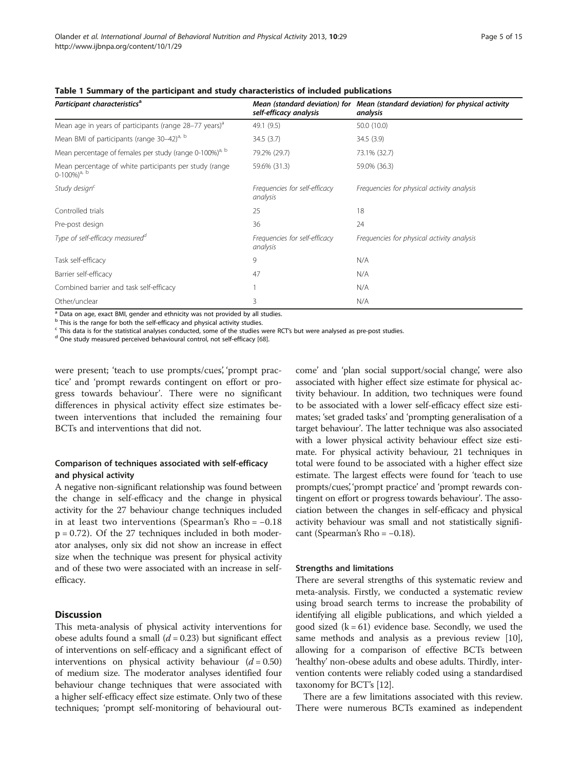| Participant characteristics <sup>a</sup>                                          | Mean (standard deviation) for<br>self-efficacy analysis | Mean (standard deviation) for physical activity<br>analysis |  |  |  |  |  |
|-----------------------------------------------------------------------------------|---------------------------------------------------------|-------------------------------------------------------------|--|--|--|--|--|
| Mean age in years of participants (range 28–77 years) <sup>a</sup>                | 49.1 (9.5)                                              | 50.0 (10.0)                                                 |  |  |  |  |  |
| Mean BMI of participants (range 30-42) <sup>a, b</sup>                            | 34.5 (3.7)                                              | 34.5(3.9)                                                   |  |  |  |  |  |
| Mean percentage of females per study (range 0-100%) <sup>a, b</sup>               | 79.2% (29.7)                                            | 73.1% (32.7)                                                |  |  |  |  |  |
| Mean percentage of white participants per study (range<br>0-100%) <sup>a, b</sup> | 59.6% (31.3)                                            | 59.0% (36.3)                                                |  |  |  |  |  |
| Study design <sup>c</sup>                                                         | Frequencies for self-efficacy<br>analysis               | Frequencies for physical activity analysis                  |  |  |  |  |  |
| Controlled trials                                                                 | 25                                                      | 18                                                          |  |  |  |  |  |
| Pre-post design                                                                   | 36                                                      | 24                                                          |  |  |  |  |  |
| Type of self-efficacy measured <sup>a</sup>                                       | Frequencies for self-efficacy<br>analysis               | Frequencies for physical activity analysis                  |  |  |  |  |  |
| Task self-efficacy                                                                | 9                                                       | N/A                                                         |  |  |  |  |  |
| Barrier self-efficacy                                                             | 47                                                      | N/A                                                         |  |  |  |  |  |
| Combined barrier and task self-efficacy                                           |                                                         | N/A                                                         |  |  |  |  |  |
| Other/unclear                                                                     | 3                                                       | N/A                                                         |  |  |  |  |  |

<span id="page-4-0"></span>Table 1 Summary of the participant and study characteristics of included publications

<sup>a</sup> Data on age, exact BMI, gender and ethnicity was not provided by all studies.

b This is the range for both the self-efficacy and physical activity studies.

<sup>c</sup> This data is for the statistical analyses conducted, some of the studies were RCT's but were analysed as pre-post studies. d One study measured perceived behavioural control, not self-efficacy [\[68](#page-13-0)].

were present; 'teach to use prompts/cues', 'prompt practice' and 'prompt rewards contingent on effort or progress towards behaviour'. There were no significant differences in physical activity effect size estimates between interventions that included the remaining four BCTs and interventions that did not.

# Comparison of techniques associated with self-efficacy and physical activity

A negative non-significant relationship was found between the change in self-efficacy and the change in physical activity for the 27 behaviour change techniques included in at least two interventions (Spearman's Rho = −0.18  $p = 0.72$ ). Of the 27 techniques included in both moderator analyses, only six did not show an increase in effect size when the technique was present for physical activity and of these two were associated with an increase in selfefficacy.

# **Discussion**

This meta-analysis of physical activity interventions for obese adults found a small  $(d = 0.23)$  but significant effect of interventions on self-efficacy and a significant effect of interventions on physical activity behaviour  $(d = 0.50)$ of medium size. The moderator analyses identified four behaviour change techniques that were associated with a higher self-efficacy effect size estimate. Only two of these techniques; 'prompt self-monitoring of behavioural outcome' and 'plan social support/social change', were also associated with higher effect size estimate for physical activity behaviour. In addition, two techniques were found to be associated with a lower self-efficacy effect size estimates; 'set graded tasks' and 'prompting generalisation of a target behaviour'. The latter technique was also associated with a lower physical activity behaviour effect size estimate. For physical activity behaviour, 21 techniques in total were found to be associated with a higher effect size estimate. The largest effects were found for 'teach to use prompts/cues', 'prompt practice' and 'prompt rewards contingent on effort or progress towards behaviour'. The association between the changes in self-efficacy and physical activity behaviour was small and not statistically significant (Spearman's Rho = −0.18).

## Strengths and limitations

There are several strengths of this systematic review and meta-analysis. Firstly, we conducted a systematic review using broad search terms to increase the probability of identifying all eligible publications, and which yielded a good sized  $(k = 61)$  evidence base. Secondly, we used the same methods and analysis as a previous review [[10](#page-12-0)], allowing for a comparison of effective BCTs between 'healthy' non-obese adults and obese adults. Thirdly, intervention contents were reliably coded using a standardised taxonomy for BCT's [\[12\]](#page-12-0).

There are a few limitations associated with this review. There were numerous BCTs examined as independent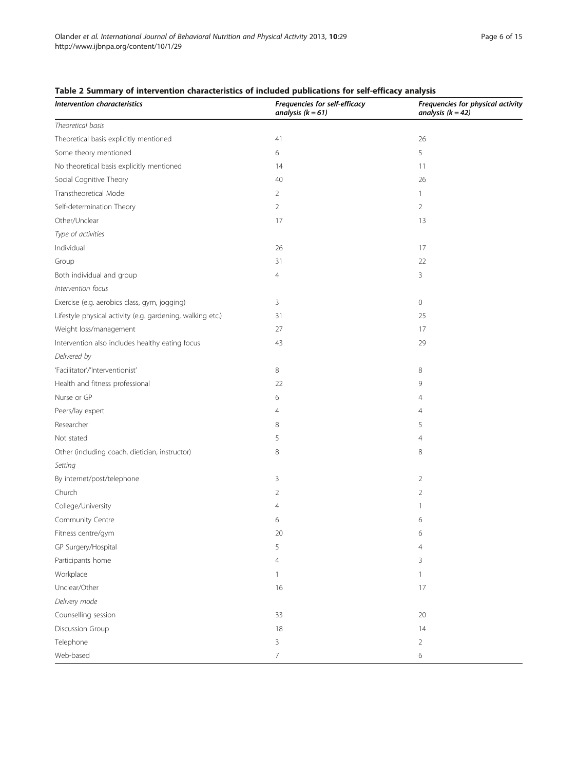| Intervention characteristics                               | Frequencies for self-efficacy<br>analysis $(k = 61)$ |                |  |  |
|------------------------------------------------------------|------------------------------------------------------|----------------|--|--|
| Theoretical basis                                          |                                                      |                |  |  |
| Theoretical basis explicitly mentioned                     | 41                                                   | 26             |  |  |
| Some theory mentioned                                      | 6                                                    | 5              |  |  |
| No theoretical basis explicitly mentioned                  | 14                                                   | 11             |  |  |
| Social Cognitive Theory                                    | 40                                                   | 26             |  |  |
| Transtheoretical Model                                     | $\overline{2}$                                       | $\mathbf{1}$   |  |  |
| Self-determination Theory                                  | $\overline{2}$                                       | 2              |  |  |
| Other/Unclear                                              | 17                                                   | 13             |  |  |
| Type of activities                                         |                                                      |                |  |  |
| Individual                                                 | 26                                                   | 17             |  |  |
| Group                                                      | 31                                                   | 22             |  |  |
| Both individual and group                                  | 4                                                    | 3              |  |  |
| Intervention focus                                         |                                                      |                |  |  |
| Exercise (e.g. aerobics class, gym, jogging)               | 3                                                    | $\mathbf 0$    |  |  |
| Lifestyle physical activity (e.g. gardening, walking etc.) | 31                                                   | 25             |  |  |
| Weight loss/management                                     | 27                                                   | 17             |  |  |
| Intervention also includes healthy eating focus            | 43                                                   | 29             |  |  |
| Delivered by                                               |                                                      |                |  |  |
| 'Facilitator'/'Interventionist'                            | 8                                                    | 8              |  |  |
| Health and fitness professional                            | 22                                                   | 9              |  |  |
| Nurse or GP                                                | 6                                                    | 4              |  |  |
| Peers/lay expert                                           | 4                                                    | $\overline{4}$ |  |  |
| Researcher                                                 | 8                                                    | 5              |  |  |
| Not stated                                                 | 5                                                    | 4              |  |  |
| Other (including coach, dietician, instructor)             | 8                                                    | 8              |  |  |
| Setting                                                    |                                                      |                |  |  |
| By internet/post/telephone                                 | 3                                                    | $\overline{2}$ |  |  |
| Church                                                     | 2                                                    | 2              |  |  |
| College/University                                         | 4                                                    | -1             |  |  |
| Community Centre                                           | 6                                                    | 6              |  |  |
| Fitness centre/gym                                         | 20                                                   | 6              |  |  |
| GP Surgery/Hospital                                        | 5                                                    | $\overline{4}$ |  |  |
| Participants home                                          | 4                                                    | 3              |  |  |
| Workplace                                                  | 1                                                    | $\mathbf{1}$   |  |  |
| Unclear/Other                                              | 16                                                   | 17             |  |  |
| Delivery mode                                              |                                                      |                |  |  |
| Counselling session                                        | 33                                                   | 20             |  |  |
| Discussion Group                                           | 18                                                   | 14             |  |  |
| Telephone                                                  | 3                                                    | $\overline{2}$ |  |  |
| Web-based                                                  | 7                                                    | 6              |  |  |

# <span id="page-5-0"></span>Table 2 Summary of intervention characteristics of included publications for self-efficacy analysis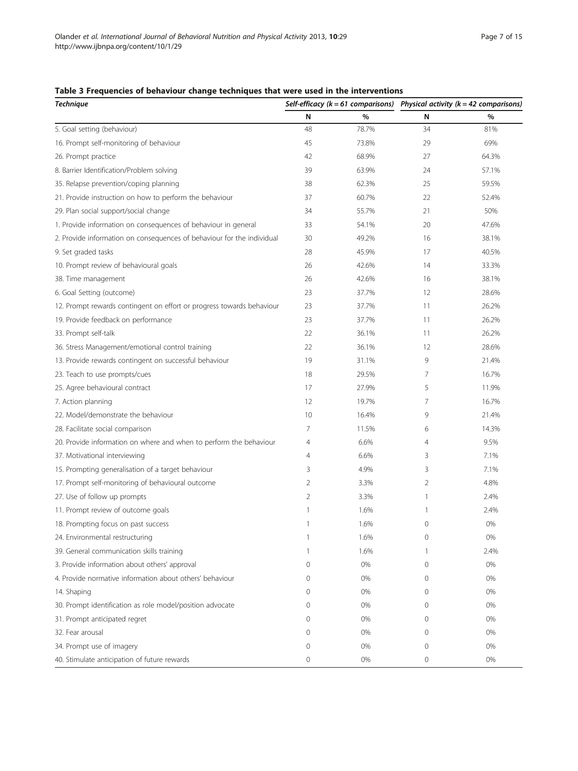# <span id="page-6-0"></span>Table 3 Frequencies of behaviour change techniques that were used in the interventions

| <b>Technique</b>                                                       |                |       | Self-efficacy ( $k = 61$ comparisons) Physical activity ( $k = 42$ comparisons) |       |  |  |
|------------------------------------------------------------------------|----------------|-------|---------------------------------------------------------------------------------|-------|--|--|
|                                                                        | N              | %     | N                                                                               | %     |  |  |
| 5. Goal setting (behaviour)                                            | 48             | 78.7% | 34                                                                              | 81%   |  |  |
| 16. Prompt self-monitoring of behaviour                                | 45             | 73.8% | 29                                                                              | 69%   |  |  |
| 26. Prompt practice                                                    | 42             | 68.9% | 27                                                                              | 64.3% |  |  |
| 8. Barrier Identification/Problem solving                              | 39             | 63.9% | 24                                                                              | 57.1% |  |  |
| 35. Relapse prevention/coping planning                                 | 38             | 62.3% | 25                                                                              | 59.5% |  |  |
| 21. Provide instruction on how to perform the behaviour                | 37             | 60.7% | 22                                                                              | 52.4% |  |  |
| 29. Plan social support/social change                                  | 34             | 55.7% | 21                                                                              | 50%   |  |  |
| 1. Provide information on consequences of behaviour in general         | 33             | 54.1% | 20                                                                              | 47.6% |  |  |
| 2. Provide information on consequences of behaviour for the individual | 30             | 49.2% | 16                                                                              | 38.1% |  |  |
| 9. Set graded tasks                                                    | 28             | 45.9% | 17                                                                              | 40.5% |  |  |
| 10. Prompt review of behavioural goals                                 | 26             | 42.6% | 14                                                                              | 33.3% |  |  |
| 38. Time management                                                    | 26             | 42.6% | 16                                                                              | 38.1% |  |  |
| 6. Goal Setting (outcome)                                              | 23             | 37.7% | 12                                                                              | 28.6% |  |  |
| 12. Prompt rewards contingent on effort or progress towards behaviour  | 23             | 37.7% | 11                                                                              | 26.2% |  |  |
| 19. Provide feedback on performance                                    | 23             | 37.7% | 11                                                                              | 26.2% |  |  |
| 33. Prompt self-talk                                                   | 22             | 36.1% | 11                                                                              | 26.2% |  |  |
| 36. Stress Management/emotional control training                       | 22             | 36.1% | 12                                                                              | 28.6% |  |  |
| 13. Provide rewards contingent on successful behaviour                 | 19             | 31.1% | 9                                                                               | 21.4% |  |  |
| 23. Teach to use prompts/cues                                          | 18             | 29.5% | 7                                                                               | 16.7% |  |  |
| 25. Agree behavioural contract                                         | 17             | 27.9% | 5                                                                               | 11.9% |  |  |
| 7. Action planning                                                     | 12             | 19.7% | 7                                                                               | 16.7% |  |  |
| 22. Model/demonstrate the behaviour                                    | 10             | 16.4% | 9                                                                               | 21.4% |  |  |
| 28. Facilitate social comparison                                       | 7              | 11.5% | 6                                                                               | 14.3% |  |  |
| 20. Provide information on where and when to perform the behaviour     | 4              | 6.6%  | 4                                                                               | 9.5%  |  |  |
| 37. Motivational interviewing                                          | 4              | 6.6%  | 3                                                                               | 7.1%  |  |  |
| 15. Prompting generalisation of a target behaviour                     | 3              | 4.9%  | 3                                                                               | 7.1%  |  |  |
| 17. Prompt self-monitoring of behavioural outcome                      | 2              | 3.3%  | 2                                                                               | 4.8%  |  |  |
| 27. Use of follow up prompts                                           | $\overline{2}$ | 3.3%  | 1                                                                               | 2.4%  |  |  |
| 11. Prompt review of outcome goals                                     | 1              | 1.6%  | 1                                                                               | 2.4%  |  |  |
| 18. Prompting focus on past success                                    | 1              | 1.6%  | 0                                                                               | 0%    |  |  |
| 24. Environmental restructuring                                        | 1              | 1.6%  | 0                                                                               | 0%    |  |  |
| 39. General communication skills training                              | 1              | 1.6%  |                                                                                 | 2.4%  |  |  |
| 3. Provide information about others' approval                          | 0              | 0%    | 0                                                                               | 0%    |  |  |
| 4. Provide normative information about others' behaviour               | $\Omega$       | 0%    | $\circ$                                                                         | 0%    |  |  |
| 14. Shaping                                                            | 0              | 0%    | 0                                                                               | 0%    |  |  |
| 30. Prompt identification as role model/position advocate              | 0              | 0%    | 0                                                                               | 0%    |  |  |
| 31. Prompt anticipated regret                                          | $\Omega$       | 0%    | 0                                                                               | 0%    |  |  |
| 32. Fear arousal                                                       | 0              | 0%    | 0                                                                               | 0%    |  |  |
| 34. Prompt use of imagery                                              | $\mathbf 0$    | 0%    | 0                                                                               | 0%    |  |  |
| 40. Stimulate anticipation of future rewards                           | $\mathbf 0$    | 0%    | 0                                                                               | 0%    |  |  |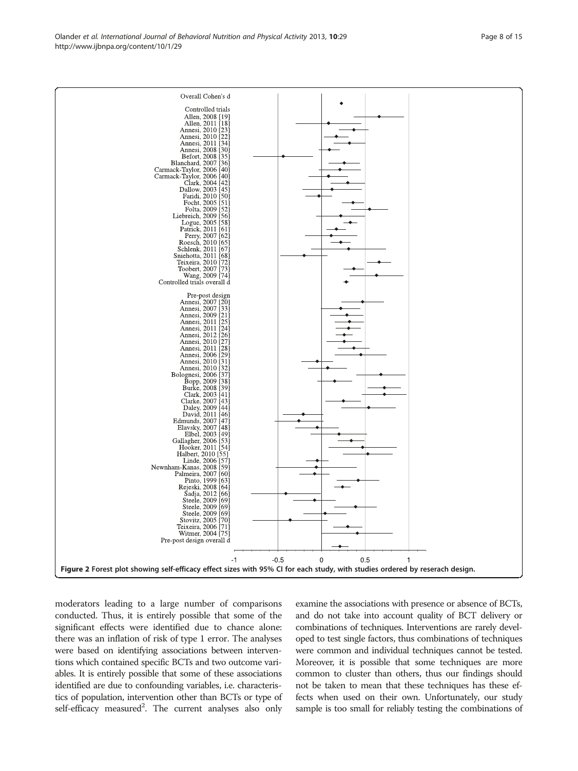<span id="page-7-0"></span>

moderators leading to a large number of comparisons conducted. Thus, it is entirely possible that some of the significant effects were identified due to chance alone: there was an inflation of risk of type 1 error. The analyses were based on identifying associations between interventions which contained specific BCTs and two outcome variables. It is entirely possible that some of these associations identified are due to confounding variables, i.e. characteristics of population, intervention other than BCTs or type of self-efficacy measured<sup>2</sup>. The current analyses also only

examine the associations with presence or absence of BCTs, and do not take into account quality of BCT delivery or combinations of techniques. Interventions are rarely developed to test single factors, thus combinations of techniques were common and individual techniques cannot be tested. Moreover, it is possible that some techniques are more common to cluster than others, thus our findings should not be taken to mean that these techniques has these effects when used on their own. Unfortunately, our study sample is too small for reliably testing the combinations of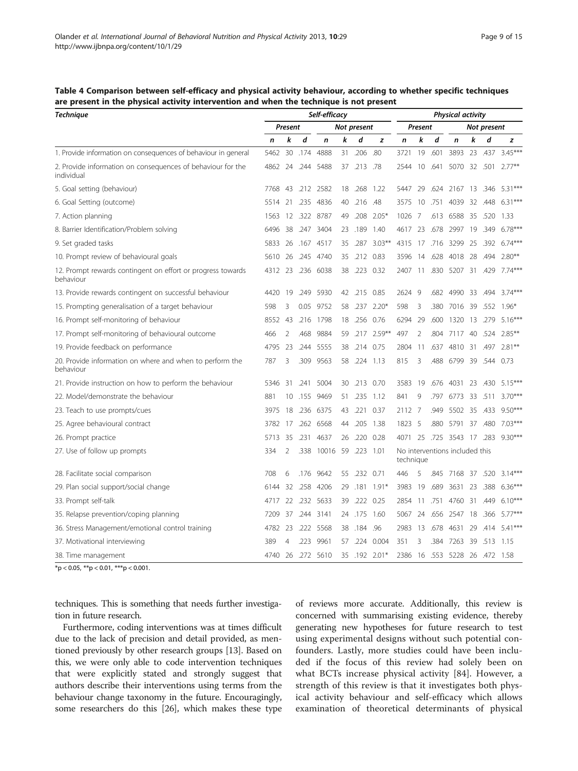| <b>Technique</b>                                                          | Self-efficacy |     |      |              |    | <b>Physical activity</b> |              |                                             |                |             |                      |      |           |                      |
|---------------------------------------------------------------------------|---------------|-----|------|--------------|----|--------------------------|--------------|---------------------------------------------|----------------|-------------|----------------------|------|-----------|----------------------|
|                                                                           | Present       |     |      | Not present  |    |                          | Present      |                                             |                | Not present |                      |      |           |                      |
|                                                                           | $\mathsf{n}$  | k   | d    | $\mathsf{n}$ | k  | d                        | z            | $\mathsf{n}$                                | k              | d           | $\mathbf n$          | k    | d         | z                    |
| 1. Provide information on consequences of behaviour in general            | 5462          | 30  | .174 | 4888         | 31 | .206                     | .80          | 3721                                        | 19             | .601        | 3893                 | 23   | .437      | $3.45***$            |
| 2. Provide information on consequences of behaviour for the<br>individual | 4862          | 24  | .244 | 5488         | 37 | .213                     | .78          | 2544                                        | 10             | .641        | 5070 32 .501         |      |           | $2.77***$            |
| 5. Goal setting (behaviour)                                               | 7768          | 43  |      | .212 2582    | 18 | .268                     | 1.22         | 5447 29                                     |                | .624        | 2167 13              |      |           | .346 5.31***         |
| 6. Goal Setting (outcome)                                                 | 5514          | 21  |      | .235 4836    | 40 | .216                     | .48          | 3575                                        | - 10           | .751        | 4039                 | - 32 | .448      | $6.31***$            |
| 7. Action planning                                                        | 1563          | 12  | .322 | 8787         | 49 | .208                     | $2.05*$      | 1026                                        | - 7            | .613        | 6588 35              |      | .520      | 1.33                 |
| 8. Barrier Identification/Problem solving                                 | 6496          | 38  | .247 | 3404         | 23 | .189                     | 1.40         | 4617                                        | 23             | .678        | 2997                 | 19   | .349      | $6.78***$            |
| 9. Set graded tasks                                                       | 5833          | 26  |      | .167 4517    | 35 | .287                     | $3.03***$    | 4315                                        | 17             | .716        | 3299 25              |      |           | .392 6.74***         |
| 10. Prompt review of behavioural goals                                    | 5610          | 26  | .245 | 4740         | 35 |                          | .212 0.83    | 3596                                        | -14            | .628        | 4018 28              |      | .494      | $2.80**$             |
| 12. Prompt rewards contingent on effort or progress towards<br>behaviour  | 4312          | 23  | .236 | 6038         | 38 |                          | .223 0.32    | 2407                                        | 11             | .830        | 5207 31              |      | .429      | $7.74***$            |
| 13. Provide rewards contingent on successful behaviour                    | 4420          | 19  | .249 | 5930         | 42 | .215                     | 0.85         | 2624                                        | -9             | .682        | 4990 33              |      |           | .494 3.74***         |
| 15. Prompting generalisation of a target behaviour                        | 598           | 3   | 0.05 | 9752         | 58 | .237                     | $2.20*$      | 598                                         | 3              | .380        | 7016 39              |      | .552      | $1.96*$              |
| 16. Prompt self-monitoring of behaviour                                   | 8552          | 43  | .216 | 1798         | 18 | .256                     | 0.76         | 6294                                        | 29             | .600        | 1320                 | 13   | .279      | $5.16***$            |
| 17. Prompt self-monitoring of behavioural outcome                         | 466           | 2   | .468 | 9884         | 59 |                          | .217 2.59**  | 497                                         | $\overline{2}$ | .804        | 7117 40              |      |           | $.524$ $2.85***$     |
| 19. Provide feedback on performance                                       | 4795          | 23  | .244 | 5555         | 38 | .214 0.75                |              | 2804                                        | 11             | .637        | 4810 31              |      |           | .497 2.81**          |
| 20. Provide information on where and when to perform the<br>behaviour     | 787           | 3   | .309 | 9563         | 58 | .224                     | 1.13         | 815                                         | 3              | .488        | 6799                 | 39   | .544 0.73 |                      |
| 21. Provide instruction on how to perform the behaviour                   | 5346          | -31 | .241 | 5004         | 30 | .213 0.70                |              | 3583                                        | - 19           | .676        | 4031 23              |      |           | .430 5.15***         |
| 22. Model/demonstrate the behaviour                                       | 881           | 10  | .155 | 9469         | 51 | .235                     | 1.12         | 841                                         | 9              | .797        | 6773 33              |      | .511      | $3.70***$            |
| 23. Teach to use prompts/cues                                             | 3975          | 18  | .236 | 6375         | 43 | .221                     | 0.37         | 2112 7                                      |                | .949        | 5502 35              |      | .433      | $9.50***$            |
| 25. Agree behavioural contract                                            | 3782          | 17  | .262 | 6568         | 44 | .205                     | 1.38         | 1823                                        | 5              | .880        | 5791 37              |      | .480      | $7.03***$            |
| 26. Prompt practice                                                       | 5713          | -35 | .231 | 4637         | 26 | .220 0.28                |              |                                             |                |             | 4071 25 .725 3543 17 |      |           | .283 9.30***         |
| 27. Use of follow up prompts                                              | 334           | 2   | .338 | 10016        | 59 | .223                     | 1.01         | No interventions included this<br>technique |                |             |                      |      |           |                      |
| 28. Facilitate social comparison                                          | 708           | 6   | .176 | 9642         | 55 | .232 0.71                |              | 446                                         | 5              | .845        | 7168 37              |      | .520      | $3.14***$            |
| 29. Plan social support/social change                                     | 6144          | 32  | .258 | 4206         | 29 | .181                     | $1.91*$      | 3983                                        | 19             | .689        | 3631                 | 23   |           | .388 6.36***         |
| 33. Prompt self-talk                                                      | 4717          | 22  | .232 | 5633         | 39 | .222                     | 0.25         | 2854                                        | 11             | .751        | 4760 31              |      | .449      | $6.10***$            |
| 35. Relapse prevention/coping planning                                    | 7209          | 37  | .244 | 3141         | 24 | .175                     | 1.60         | 5067                                        | 24             | .656        | 2547 18              |      | .366      | 5.77***              |
| 36. Stress Management/emotional control training                          | 4782          | 23  |      | .222 5568    | 38 | .184                     | .96          | 2983                                        | 13             | .678        | 4631                 | 29   |           | $.414 \quad 5.41***$ |
| 37. Motivational interviewing                                             | 389           | 4   | .223 | 9961         | 57 | .224                     | 0.004        | 351                                         | 3              | .384        | 7263                 | 39   | .513      | - 1.15               |
| 38. Time management                                                       | 4740          | 26  | .272 | 5610         | 35 |                          | $.192$ 2.01* | 2386                                        | -16            | .553        | 5228                 | 26   | .472 1.58 |                      |

<span id="page-8-0"></span>

|                                                                                         |  | Table 4 Comparison between self-efficacy and physical activity behaviour, according to whether specific techniques |
|-----------------------------------------------------------------------------------------|--|--------------------------------------------------------------------------------------------------------------------|
| are present in the physical activity intervention and when the technique is not present |  |                                                                                                                    |

 $*_{p < 0.05, *_{p < 0.01, *_{p < 0.001.}}$ 

techniques. This is something that needs further investigation in future research.

Furthermore, coding interventions was at times difficult due to the lack of precision and detail provided, as mentioned previously by other research groups [[13](#page-12-0)]. Based on this, we were only able to code intervention techniques that were explicitly stated and strongly suggest that authors describe their interventions using terms from the behaviour change taxonomy in the future. Encouragingly, some researchers do this [[26](#page-12-0)], which makes these type of reviews more accurate. Additionally, this review is concerned with summarising existing evidence, thereby generating new hypotheses for future research to test using experimental designs without such potential confounders. Lastly, more studies could have been included if the focus of this review had solely been on what BCTs increase physical activity [[84\]](#page-14-0). However, a strength of this review is that it investigates both physical activity behaviour and self-efficacy which allows examination of theoretical determinants of physical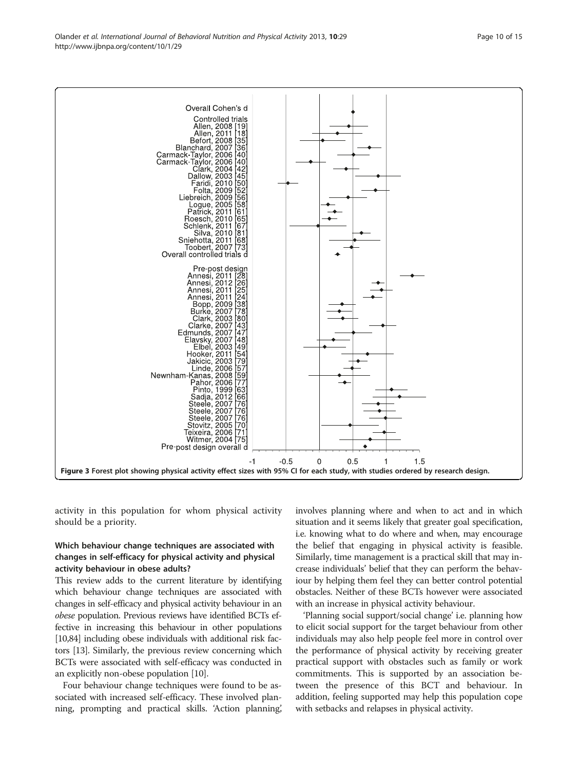<span id="page-9-0"></span>

activity in this population for whom physical activity should be a priority.

# Which behaviour change techniques are associated with changes in self-efficacy for physical activity and physical activity behaviour in obese adults?

This review adds to the current literature by identifying which behaviour change techniques are associated with changes in self-efficacy and physical activity behaviour in an obese population. Previous reviews have identified BCTs effective in increasing this behaviour in other populations [[10](#page-12-0)[,84\]](#page-14-0) including obese individuals with additional risk factors [\[13](#page-12-0)]. Similarly, the previous review concerning which BCTs were associated with self-efficacy was conducted in an explicitly non-obese population [\[10\]](#page-12-0).

Four behaviour change techniques were found to be associated with increased self-efficacy. These involved planning, prompting and practical skills. 'Action planning',

involves planning where and when to act and in which situation and it seems likely that greater goal specification, i.e. knowing what to do where and when, may encourage the belief that engaging in physical activity is feasible. Similarly, time management is a practical skill that may increase individuals' belief that they can perform the behaviour by helping them feel they can better control potential obstacles. Neither of these BCTs however were associated with an increase in physical activity behaviour.

'Planning social support/social change' i.e. planning how to elicit social support for the target behaviour from other individuals may also help people feel more in control over the performance of physical activity by receiving greater practical support with obstacles such as family or work commitments. This is supported by an association between the presence of this BCT and behaviour. In addition, feeling supported may help this population cope with setbacks and relapses in physical activity.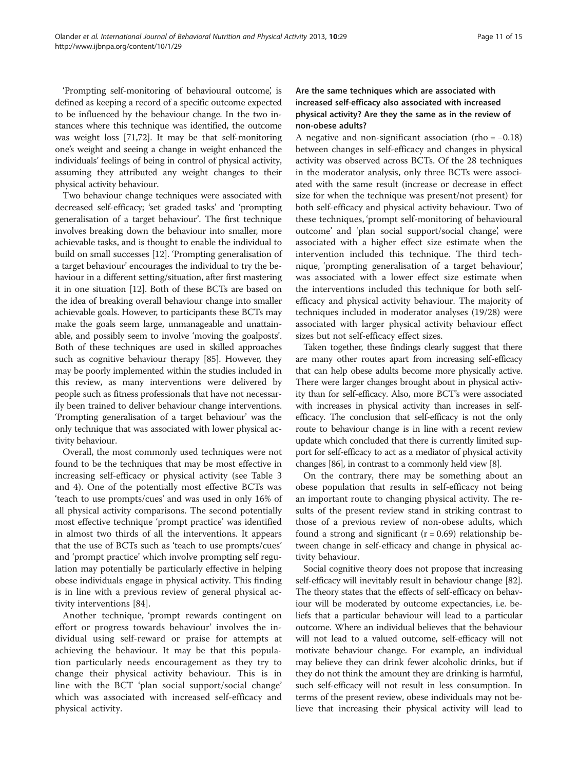'Prompting self-monitoring of behavioural outcome', is defined as keeping a record of a specific outcome expected to be influenced by the behaviour change. In the two instances where this technique was identified, the outcome was weight loss [\[71](#page-13-0)[,72\]](#page-14-0). It may be that self-monitoring one's weight and seeing a change in weight enhanced the individuals' feelings of being in control of physical activity, assuming they attributed any weight changes to their physical activity behaviour.

Two behaviour change techniques were associated with decreased self-efficacy; 'set graded tasks' and 'prompting generalisation of a target behaviour'. The first technique involves breaking down the behaviour into smaller, more achievable tasks, and is thought to enable the individual to build on small successes [[12](#page-12-0)]. 'Prompting generalisation of a target behaviour' encourages the individual to try the behaviour in a different setting/situation, after first mastering it in one situation [\[12](#page-12-0)]. Both of these BCTs are based on the idea of breaking overall behaviour change into smaller achievable goals. However, to participants these BCTs may make the goals seem large, unmanageable and unattainable, and possibly seem to involve 'moving the goalposts'. Both of these techniques are used in skilled approaches such as cognitive behaviour therapy [\[85\]](#page-14-0). However, they may be poorly implemented within the studies included in this review, as many interventions were delivered by people such as fitness professionals that have not necessarily been trained to deliver behaviour change interventions. 'Prompting generalisation of a target behaviour' was the only technique that was associated with lower physical activity behaviour.

Overall, the most commonly used techniques were not found to be the techniques that may be most effective in increasing self-efficacy or physical activity (see Table [3](#page-6-0) and [4\)](#page-8-0). One of the potentially most effective BCTs was 'teach to use prompts/cues' and was used in only 16% of all physical activity comparisons. The second potentially most effective technique 'prompt practice' was identified in almost two thirds of all the interventions. It appears that the use of BCTs such as 'teach to use prompts/cues' and 'prompt practice' which involve prompting self regulation may potentially be particularly effective in helping obese individuals engage in physical activity. This finding is in line with a previous review of general physical activity interventions [[84\]](#page-14-0).

Another technique, 'prompt rewards contingent on effort or progress towards behaviour' involves the individual using self-reward or praise for attempts at achieving the behaviour. It may be that this population particularly needs encouragement as they try to change their physical activity behaviour. This is in line with the BCT 'plan social support/social change' which was associated with increased self-efficacy and physical activity.

# Are the same techniques which are associated with increased self-efficacy also associated with increased physical activity? Are they the same as in the review of non-obese adults?

A negative and non-significant association (rho = −0.18) between changes in self-efficacy and changes in physical activity was observed across BCTs. Of the 28 techniques in the moderator analysis, only three BCTs were associated with the same result (increase or decrease in effect size for when the technique was present/not present) for both self-efficacy and physical activity behaviour. Two of these techniques, 'prompt self-monitoring of behavioural outcome' and 'plan social support/social change', were associated with a higher effect size estimate when the intervention included this technique. The third technique, 'prompting generalisation of a target behaviour', was associated with a lower effect size estimate when the interventions included this technique for both selfefficacy and physical activity behaviour. The majority of techniques included in moderator analyses (19/28) were associated with larger physical activity behaviour effect sizes but not self-efficacy effect sizes.

Taken together, these findings clearly suggest that there are many other routes apart from increasing self-efficacy that can help obese adults become more physically active. There were larger changes brought about in physical activity than for self-efficacy. Also, more BCT's were associated with increases in physical activity than increases in selfefficacy. The conclusion that self-efficacy is not the only route to behaviour change is in line with a recent review update which concluded that there is currently limited support for self-efficacy to act as a mediator of physical activity changes [\[86\]](#page-14-0), in contrast to a commonly held view [[8](#page-12-0)].

On the contrary, there may be something about an obese population that results in self-efficacy not being an important route to changing physical activity. The results of the present review stand in striking contrast to those of a previous review of non-obese adults, which found a strong and significant  $(r = 0.69)$  relationship between change in self-efficacy and change in physical activity behaviour.

Social cognitive theory does not propose that increasing self-efficacy will inevitably result in behaviour change [[82](#page-14-0)]. The theory states that the effects of self-efficacy on behaviour will be moderated by outcome expectancies, i.e. beliefs that a particular behaviour will lead to a particular outcome. Where an individual believes that the behaviour will not lead to a valued outcome, self-efficacy will not motivate behaviour change. For example, an individual may believe they can drink fewer alcoholic drinks, but if they do not think the amount they are drinking is harmful, such self-efficacy will not result in less consumption. In terms of the present review, obese individuals may not believe that increasing their physical activity will lead to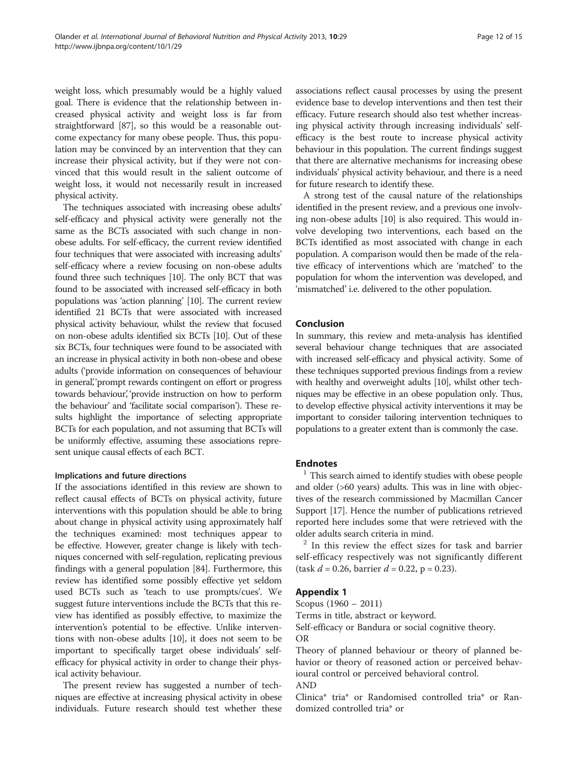<span id="page-11-0"></span>weight loss, which presumably would be a highly valued goal. There is evidence that the relationship between increased physical activity and weight loss is far from straightforward [\[87\]](#page-14-0), so this would be a reasonable outcome expectancy for many obese people. Thus, this population may be convinced by an intervention that they can increase their physical activity, but if they were not convinced that this would result in the salient outcome of weight loss, it would not necessarily result in increased physical activity.

The techniques associated with increasing obese adults' self-efficacy and physical activity were generally not the same as the BCTs associated with such change in nonobese adults. For self-efficacy, the current review identified four techniques that were associated with increasing adults' self-efficacy where a review focusing on non-obese adults found three such techniques [\[10\]](#page-12-0). The only BCT that was found to be associated with increased self-efficacy in both populations was 'action planning' [[10](#page-12-0)]. The current review identified 21 BCTs that were associated with increased physical activity behaviour, whilst the review that focused on non-obese adults identified six BCTs [[10](#page-12-0)]. Out of these six BCTs, four techniques were found to be associated with an increase in physical activity in both non-obese and obese adults ('provide information on consequences of behaviour in general, 'prompt rewards contingent on effort or progress towards behaviour,' 'provide instruction on how to perform the behaviour' and 'facilitate social comparison'). These results highlight the importance of selecting appropriate BCTs for each population, and not assuming that BCTs will be uniformly effective, assuming these associations represent unique causal effects of each BCT.

# Implications and future directions

If the associations identified in this review are shown to reflect causal effects of BCTs on physical activity, future interventions with this population should be able to bring about change in physical activity using approximately half the techniques examined: most techniques appear to be effective. However, greater change is likely with techniques concerned with self-regulation, replicating previous findings with a general population [[84](#page-14-0)]. Furthermore, this review has identified some possibly effective yet seldom used BCTs such as 'teach to use prompts/cues'. We suggest future interventions include the BCTs that this review has identified as possibly effective, to maximize the intervention's potential to be effective. Unlike interventions with non-obese adults [[10](#page-12-0)], it does not seem to be important to specifically target obese individuals' selfefficacy for physical activity in order to change their physical activity behaviour.

The present review has suggested a number of techniques are effective at increasing physical activity in obese individuals. Future research should test whether these associations reflect causal processes by using the present evidence base to develop interventions and then test their efficacy. Future research should also test whether increasing physical activity through increasing individuals' selfefficacy is the best route to increase physical activity behaviour in this population. The current findings suggest that there are alternative mechanisms for increasing obese individuals' physical activity behaviour, and there is a need for future research to identify these.

A strong test of the causal nature of the relationships identified in the present review, and a previous one involving non-obese adults [\[10\]](#page-12-0) is also required. This would involve developing two interventions, each based on the BCTs identified as most associated with change in each population. A comparison would then be made of the relative efficacy of interventions which are 'matched' to the population for whom the intervention was developed, and 'mismatched' i.e. delivered to the other population.

# Conclusion

In summary, this review and meta-analysis has identified several behaviour change techniques that are associated with increased self-efficacy and physical activity. Some of these techniques supported previous findings from a review with healthy and overweight adults [\[10\]](#page-12-0), whilst other techniques may be effective in an obese population only. Thus, to develop effective physical activity interventions it may be important to consider tailoring intervention techniques to populations to a greater extent than is commonly the case.

**Endnotes**<br><sup>1</sup> This search aimed to identify studies with obese people and older (>60 years) adults. This was in line with objectives of the research commissioned by Macmillan Cancer Support [\[17\]](#page-12-0). Hence the number of publications retrieved reported here includes some that were retrieved with the older adults search criteria in mind. <sup>2</sup> In this review the effect sizes for task and barrier

self-efficacy respectively was not significantly different  $(\text{task } d = 0.26, \text{ barrier } d = 0.22, \, \text{p} = 0.23).$ 

## Appendix 1

Scopus (1960 – 2011)

Terms in title, abstract or keyword.

Self-efficacy or Bandura or social cognitive theory. OR

Theory of planned behaviour or theory of planned behavior or theory of reasoned action or perceived behavioural control or perceived behavioral control.

AND

Clinica\* tria\* or Randomised controlled tria\* or Randomized controlled tria\* or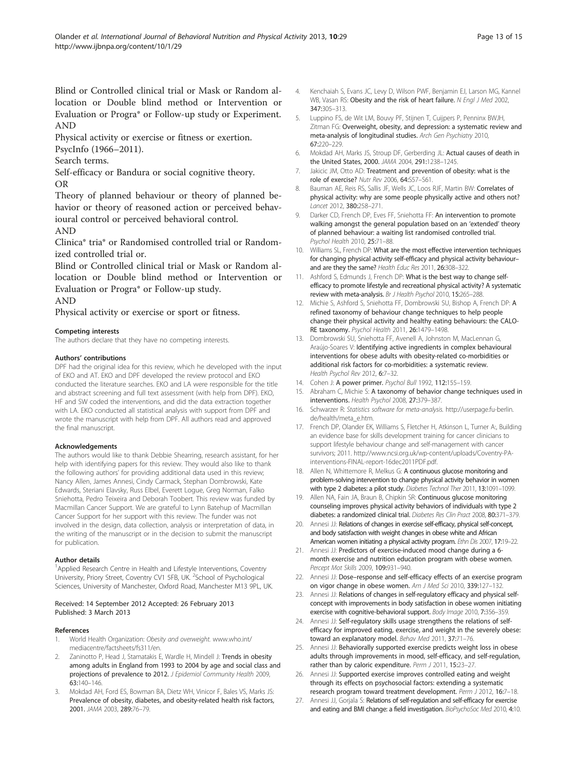<span id="page-12-0"></span>Blind or Controlled clinical trial or Mask or Random allocation or Double blind method or Intervention or Evaluation or Progra\* or Follow-up study or Experiment. AND

Physical activity or exercise or fitness or exertion.

PsycInfo (1966–2011).

Search terms.

Self-efficacy or Bandura or social cognitive theory.

OR

Theory of planned behaviour or theory of planned behavior or theory of reasoned action or perceived behavioural control or perceived behavioral control.

AND

Clinica\* tria\* or Randomised controlled trial or Randomized controlled trial or.

Blind or Controlled clinical trial or Mask or Random allocation or Double blind method or Intervention or Evaluation or Progra\* or Follow-up study.

# AND

Physical activity or exercise or sport or fitness.

## Competing interests

The authors declare that they have no competing interests.

## Authors' contributions

DPF had the original idea for this review, which he developed with the input of EKO and AT. EKO and DPF developed the review protocol and EKO conducted the literature searches. EKO and LA were responsible for the title and abstract screening and full text assessment (with help from DPF). EKO, HF and SW coded the interventions, and did the data extraction together with LA. EKO conducted all statistical analysis with support from DPF and wrote the manuscript with help from DPF. All authors read and approved the final manuscript.

## Acknowledgements

The authors would like to thank Debbie Shearring, research assistant, for her help with identifying papers for this review. They would also like to thank the following authors' for providing additional data used in this review; Nancy Allen, James Annesi, Cindy Carmack, Stephan Dombrowski, Kate Edwards, Steriani Elavsky, Russ Elbel, Everett Logue, Greg Norman, Falko Sniehotta, Pedro Teixeira and Deborah Toobert. This review was funded by Macmillan Cancer Support. We are grateful to Lynn Batehup of Macmillan Cancer Support for her support with this review. The funder was not involved in the design, data collection, analysis or interpretation of data, in the writing of the manuscript or in the decision to submit the manuscript for publication.

#### Author details

<sup>1</sup>Applied Research Centre in Health and Lifestyle Interventions, Coventry University, Priory Street, Coventry CV1 5FB, UK. <sup>2</sup>School of Psychological Sciences, University of Manchester, Oxford Road, Manchester M13 9PL, UK.

#### Received: 14 September 2012 Accepted: 26 February 2013 Published: 3 March 2013

#### References

- 1. World Health Organization: Obesity and overweight. [www.who.int/](http://www.who.int/mediacentre/factsheets/fs311/en) [mediacentre/factsheets/fs311/en.](http://www.who.int/mediacentre/factsheets/fs311/en)
- Zaninotto P, Head J, Stamatakis E, Wardle H, Mindell J: Trends in obesity among adults in England from 1993 to 2004 by age and social class and projections of prevalence to 2012. J Epidemiol Community Health 2009, 63:140–146.
- 3. Mokdad AH, Ford ES, Bowman BA, Dietz WH, Vinicor F, Bales VS, Marks JS: Prevalence of obesity, diabetes, and obesity-related health risk factors, 2001. JAMA 2003, 289:76–79.
- 4. Kenchaiah S, Evans JC, Levy D, Wilson PWF, Benjamin EJ, Larson MG, Kannel WB, Vasan RS: Obesity and the risk of heart failure. N Engl J Med 2002, 347:305–313.
- 5. Luppino FS, de Wit LM, Bouvy PF, Stijnen T, Cuijpers P, Penninx BWJH, Zitman FG: Overweight, obesity, and depression: a systematic review and meta-analysis of longitudinal studies. Arch Gen Psychiatry 2010, 67:220–229.
- 6. Mokdad AH, Marks JS, Stroup DF, Gerberding JL: Actual causes of death in the United States, 2000. JAMA 2004, 291:1238–1245.
- 7. Jakicic JM, Otto AD: Treatment and prevention of obesity: what is the role of exercise? Nutr Rev 2006, 64:S57–S61.
- 8. Bauman AE, Reis RS, Sallis JF, Wells JC, Loos RJF, Martin BW: Correlates of physical activity: why are some people physically active and others not? Lancet 2012, 380:258–271.
- 9. Darker CD, French DP, Eves FF, Sniehotta FF: An intervention to promote walking amongst the general population based on an 'extended' theory of planned behaviour: a waiting list randomised controlled trial. Psychol Health 2010, 25:71–88.
- 10. Williams SL, French DP: What are the most effective intervention techniques for changing physical activity self-efficacy and physical activity behaviour– and are they the same? Health Educ Res 2011, 26:308–322.
- 11. Ashford S, Edmunds J, French DP: What is the best way to change selfefficacy to promote lifestyle and recreational physical activity? A systematic review with meta-analysis. Br J Health Psychol 2010, 15:265–288.
- 12. Michie S, Ashford S, Sniehotta FF, Dombrowski SU, Bishop A, French DP: A refined taxonomy of behaviour change techniques to help people change their physical activity and healthy eating behaviours: the CALO-RE taxonomy. Psychol Health 2011, 26:1479–1498.
- 13. Dombrowski SU, Sniehotta FF, Avenell A, Johnston M, MacLennan G, Araújo-Soares V: Identifying active ingredients in complex behavioural interventions for obese adults with obesity-related co-morbidities or additional risk factors for co-morbidities: a systematic review. Health Psychol Rev 2012, 6:7-32.
- 14. Cohen J: A power primer. Psychol Bull 1992, 112:155-159.
- 15. Abraham C, Michie S: A taxonomy of behavior change techniques used in interventions. Health Psychol 2008, 27:379–387.
- 16. Schwarzer R: Statistics software for meta-analysis. [http://userpage.fu-berlin.](http://userpage.fu-berlin.de/health/meta_e.htm) [de/health/meta\\_e.htm](http://userpage.fu-berlin.de/health/meta_e.htm).
- 17. French DP, Olander EK, Williams S, Fletcher H, Atkinson L, Turner A:, Building an evidence base for skills development training for cancer clinicians to support lifestyle behaviour change and self-management with cancer survivors; 2011. [http://www.ncsi.org.uk/wp-content/uploads/Coventry-PA](http://www.ncsi.org.uk/wp-content/uploads/Coventry-PA-interventions-FINAL-report-16dec2011PDF.pdf)[interventions-FINAL-report-16dec2011PDF.pdf](http://www.ncsi.org.uk/wp-content/uploads/Coventry-PA-interventions-FINAL-report-16dec2011PDF.pdf).
- 18. Allen N, Whittemore R, Melkus G: A continuous glucose monitoring and problem-solving intervention to change physical activity behavior in women with type 2 diabetes: a pilot study. Diabetes Technol Ther 2011, 13:1091-1099.
- 19. Allen NA, Fain JA, Braun B, Chipkin SR: Continuous glucose monitoring counseling improves physical activity behaviors of individuals with type 2 diabetes: a randomized clinical trial. Diabetes Res Clin Pract 2008, 80:371–379.
- 20. Annesi JJ: Relations of changes in exercise self-efficacy, physical self-concept, and body satisfaction with weight changes in obese white and African American women initiating a physical activity program. Ethn Dis 2007, 17:19–22.
- 21. Annesi JJ: Predictors of exercise-induced mood change during a 6month exercise and nutrition education program with obese women. Percept Mot Skills 2009, 109:931–940.
- 22. Annesi JJ: Dose-response and self-efficacy effects of an exercise program on vigor change in obese women. Am J Med Sci 2010, 339:127–132.
- 23. Annesi JJ: Relations of changes in self-regulatory efficacy and physical selfconcept with improvements in body satisfaction in obese women initiating exercise with cognitive-behavioral support. Body Image 2010, 7:356-359.
- 24. Annesi JJ: Self-regulatory skills usage strengthens the relations of selfefficacy for improved eating, exercise, and weight in the severely obese: toward an explanatory model. Behav Med 2011, 37:71–76.
- 25. Annesi JJ: Behaviorally supported exercise predicts weight loss in obese adults through improvements in mood, self-efficacy, and self-regulation, rather than by caloric expenditure. Perm J 2011, 15:23-27.
- 26. Annesi JJ: Supported exercise improves controlled eating and weight through its effects on psychosocial factors: extending a systematic research program toward treatment development. Perm J 2012, 16:7–18.
- 27. Annesi JJ, Gorjala S: Relations of self-regulation and self-efficacy for exercise and eating and BMI change: a field investigation. BioPsychoSoc Med 2010, 4:10.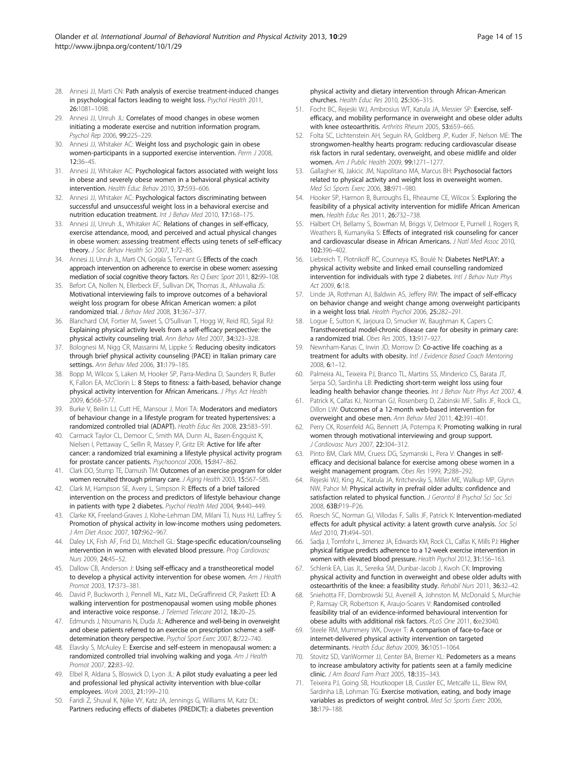- <span id="page-13-0"></span>28. Annesi JJ, Marti CN: Path analysis of exercise treatment-induced changes in psychological factors leading to weight loss. Psychol Health 2011, 26:1081–1098.
- 29. Annesi JJ, Unruh JL: Correlates of mood changes in obese women initiating a moderate exercise and nutrition information program. Psychol Rep 2006, 99:225–229.
- 30. Annesi JJ, Whitaker AC: Weight loss and psychologic gain in obese women-participants in a supported exercise intervention. Perm J 2008, 12:36–45.
- 31. Annesi JJ, Whitaker AC: Psychological factors associated with weight loss in obese and severely obese women in a behavioral physical activity intervention. Health Educ Behav 2010, 37:593-606.
- 32. Annesi JJ, Whitaker AC: Psychological factors discriminating between successful and unsuccessful weight loss in a behavioral exercise and nutrition education treatment. Int J Behav Med 2010, 17:168–175.
- 33. Annesi JJ, Unruh JL, Whitaker AC: Relations of changes in self-efficacy, exercise attendance, mood, and perceived and actual physical changes in obese women: assessing treatment effects using tenets of self-efficacy theory. J Soc Behav Health Sci 2007, 1:72–85.
- 34. Annesi JJ, Unruh JL, Marti CN, Goriala S, Tennant G: Effects of the coach approach intervention on adherence to exercise in obese women: assessing mediation of social cognitive theory factors. Res Q Exerc Sport 2011, 82:99-108.
- 35. Befort CA, Nollen N, Ellerbeck EF, Sullivan DK, Thomas JL, Ahluwalia JS: Motivational interviewing fails to improve outcomes of a behavioral weight loss program for obese African American women: a pilot randomized trial. J Behav Med 2008, 31:367–377.
- 36. Blanchard CM, Fortier M, Sweet S, O'Sullivan T, Hogg W, Reid RD, Sigal RJ: Explaining physical activity levels from a self-efficacy perspective: the physical activity counseling trial. Ann Behav Med 2007, 34:323–328.
- 37. Bolognesi M, Nigg CR, Massarini M, Lippke S: Reducing obesity indicators through brief physical activity counseling (PACE) in Italian primary care settings. Ann Behav Med 2006, 31:179–185.
- 38. Bopp M, Wilcox S, Laken M, Hooker SP, Parra-Medina D, Saunders R, Butler K, Fallon EA, McClorin L: 8 Steps to fitness: a faith-based, behavior change physical activity intervention for African Americans. J Phys Act Health 2009, 6:568–577.
- 39. Burke V, Beilin LJ, Cutt HE, Mansour J, Mori TA: Moderators and mediators of behaviour change in a lifestyle program for treated hypertensives: a randomized controlled trial (ADAPT). Health Educ Res 2008, 23:583–591.
- 40. Carmack Taylor CL, Demoor C, Smith MA, Dunn AL, Basen-Engquist K, Nielsen I, Pettaway C, Sellin R, Massey P, Gritz ER: Active for life after cancer: a randomized trial examining a lifestyle physical activity program for prostate cancer patients. Psychooncol 2006, 15:847–862.
- 41. Clark DO, Stump TE, Damush TM: Outcomes of an exercise program for older women recruited through primary care. J Aging Health 2003, 15:567–585.
- 42. Clark M, Hampson SE, Avery L, Simpson R: Effects of a brief tailored intervention on the process and predictors of lifestyle behaviour change in patients with type 2 diabetes. Psychol Health Med 2004, 9:440-449.
- 43. Clarke KK, Freeland-Graves J, Klohe-Lehman DM, Milani TJ, Nuss HJ, Laffrey S: Promotion of physical activity in low-income mothers using pedometers. J Am Diet Assoc 2007, 107:962–967.
- 44. Daley LK, Fish AF, Frid DJ, Mitchell GL: Stage-specific education/counseling intervention in women with elevated blood pressure. Prog Cardiovasc Nurs 2009, 24:45–52.
- 45. Dallow CB, Anderson J: Using self-efficacy and a transtheoretical model to develop a physical activity intervention for obese women. Am J Health Promot 2003, 17:373–381.
- 46. David P, Buckworth J, Pennell ML, Katz ML, DeGraffinreid CR, Paskett ED: A walking intervention for postmenopausal women using mobile phones and interactive voice response. J Telemed Telecare 2012, 18:20-25.
- 47. Edmunds J, Ntoumanis N, Duda JL: Adherence and well-being in overweight and obese patients referred to an exercise on prescription scheme: a selfdetermination theory perspective. Psychol Sport Exerc 2007, 8:722-740.
- 48. Elavsky S, McAuley E: Exercise and self-esteem in menopausal women: a randomized controlled trial involving walking and yoga. Am J Health Promot 2007, 22:83–92.
- 49. Elbel R, Aldana S, Bloswick D, Lyon JL: A pilot study evaluating a peer led and professional led physical activity intervention with blue-collar employees. Work 2003, 21:199–210.
- 50. Faridi Z, Shuval K, Njike VY, Katz JA, Jennings G, Williams M, Katz DL: Partners reducing effects of diabetes (PREDICT): a diabetes prevention

physical activity and dietary intervention through African-American churches. Health Educ Res 2010, 25:306–315.

- 51. Focht BC, Rejeski WJ, Ambrosius WT, Katula JA, Messier SP: Exercise, selfefficacy, and mobility performance in overweight and obese older adults with knee osteoarthritis. Arthritis Rheum 2005, 53:659-665.
- 52. Folta SC, Lichtenstein AH, Seguin RA, Goldberg JP, Kuder JF, Nelson ME: The strongwomen-healthy hearts program: reducing cardiovascular disease risk factors in rural sedentary, overweight, and obese midlife and older women. Am J Public Health 2009, 99:1271–1277.
- 53. Gallagher KI, Jakicic JM, Napolitano MA, Marcus BH: Psychosocial factors related to physical activity and weight loss in overweight women. Med Sci Sports Exerc 2006, 38:971–980.
- 54. Hooker SP, Harmon B, Burroughs EL, Rheaume CE, Wilcox S: Exploring the feasibility of a physical activity intervention for midlife African American men. Health Educ Res 2011, 26:732-738.
- 55. Halbert CH, Bellamy S, Bowman M, Briggs V, Delmoor E, Purnell J, Rogers R, Weathers B, Kumanyika S: Effects of integrated risk counseling for cancer and cardiovascular disease in African Americans. J Natl Med Assoc 2010, 102:396–402.
- 56. Liebreich T, Plotnikoff RC, Courneya KS, Boulé N: Diabetes NetPLAY: a physical activity website and linked email counselling randomized intervention for individuals with type 2 diabetes. Intl J Behav Nutr Phys Act 2009, 6:18.
- 57. Linde JA, Rothman AJ, Baldwin AS, Jeffery RW: The impact of self-efficacy on behavior change and weight change among overweight participants in a weight loss trial. Health Psychol 2006, 25:282–291.
- 58. Logue E, Sutton K, Jarjoura D, Smucker W, Baughman K, Capers C: Transtheoretical model-chronic disease care for obesity in primary care: a randomized trial. Obes Res 2005, 13:917–927.
- 59. Newnham-Kanas C, Irwin JD, Morrow D: Co-active life coaching as a treatment for adults with obesity. Intl J Evidence Based Coach Mentoring 2008, 6:1–12.
- 60. Palmeira AL, Teixeira PJ, Branco TL, Martins SS, Minderico CS, Barata JT, Serpa SO, Sardinha LB: Predicting short-term weight loss using four leading health behavior change theories. Int J Behav Nutr Phys Act 2007, 4.
- 61. Patrick K, Calfas KJ, Norman GJ, Rosenberg D, Zabinski MF, Sallis JF, Rock CL, Dillon LW: Outcomes of a 12-month web-based intervention for overweight and obese men. Ann Behav Med 2011, 42:391–401.
- 62. Perry CK, Rosenfeld AG, Bennett JA, Potempa K: Promoting walking in rural women through motivational interviewing and group support. J Cardiovasc Nurs 2007, 22:304–312.
- 63. Pinto BM, Clark MM, Cruess DG, Szymanski L, Pera V: Changes in selfefficacy and decisional balance for exercise among obese women in a weight management program. Obes Res 1999, 7:288–292.
- 64. Rejeski WJ, King AC, Katula JA, Kritchevsky S, Miller ME, Walkup MP, Glynn NW, Pahor M: Physical activity in prefrail older adults: confidence and satisfaction related to physical function. J Gerontol B Psychol Sci Soc Sci 2008, 63B:P19–P26.
- 65. Roesch SC, Norman GJ, Villodas F, Sallis JF, Patrick K: Intervention-mediated effects for adult physical activity: a latent growth curve analysis. Soc Sci Med 2010, 71:494–501.
- 66. Sadja J, Tomfohr L, Jimenez JA, Edwards KM, Rock CL, Calfas K, Mills PJ: Higher physical fatigue predicts adherence to a 12-week exercise intervention in women with elevated blood pressure. Health Psychol 2012, 31:156-163.
- 67. Schlenk EA, Lias JL, Sereika SM, Dunbar-Jacob J, Kwoh CK: Improving physical activity and function in overweight and obese older adults with osteoarthritis of the knee: a feasibility study. Rehabil Nurs 2011, 36:32–42.
- 68. Sniehotta FF, Dombrowski SU, Avenell A, Johnston M, McDonald S, Murchie P, Ramsay CR, Robertson K, Araujo-Soares V: Randomised controlled feasibility trial of an evidence-informed behavioural intervention for obese adults with additional risk factors. PLoS One 2011, 6:e23040.
- 69. Steele RM, Mummery WK, Dwyer T: A comparison of face-to-face or internet-delivered physical activity intervention on targeted determinants. Health Educ Behav 2009, 36:1051–1064.
- 70. Stovitz SD, VanWormer JJ, Center BA, Bremer KL: Pedometers as a means to increase ambulatory activity for patients seen at a family medicine clinic. J Am Board Fam Pract 2005, 18:335–343.
- Teixeira PJ, Going SB, Houtkooper LB, Cussler EC, Metcalfe LL, Blew RM, Sardinha LB, Lohman TG: Exercise motivation, eating, and body image variables as predictors of weight control. Med Sci Sports Exerc 2006, 38:179–188.